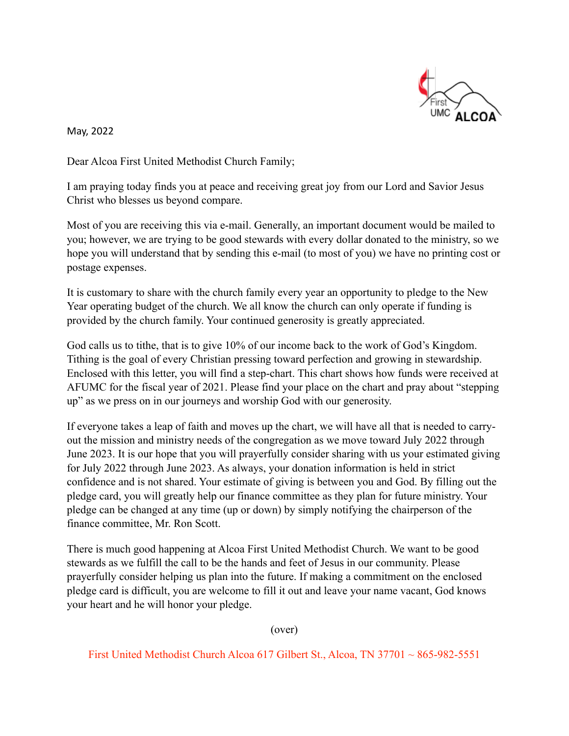

May, 2022

Dear Alcoa First United Methodist Church Family;

I am praying today finds you at peace and receiving great joy from our Lord and Savior Jesus Christ who blesses us beyond compare.

Most of you are receiving this via e-mail. Generally, an important document would be mailed to you; however, we are trying to be good stewards with every dollar donated to the ministry, so we hope you will understand that by sending this e-mail (to most of you) we have no printing cost or postage expenses.

It is customary to share with the church family every year an opportunity to pledge to the New Year operating budget of the church. We all know the church can only operate if funding is provided by the church family. Your continued generosity is greatly appreciated.

God calls us to tithe, that is to give 10% of our income back to the work of God's Kingdom. Tithing is the goal of every Christian pressing toward perfection and growing in stewardship. Enclosed with this letter, you will find a step-chart. This chart shows how funds were received at AFUMC for the fiscal year of 2021. Please find your place on the chart and pray about "stepping up" as we press on in our journeys and worship God with our generosity.

If everyone takes a leap of faith and moves up the chart, we will have all that is needed to carryout the mission and ministry needs of the congregation as we move toward July 2022 through June 2023. It is our hope that you will prayerfully consider sharing with us your estimated giving for July 2022 through June 2023. As always, your donation information is held in strict confidence and is not shared. Your estimate of giving is between you and God. By filling out the pledge card, you will greatly help our finance committee as they plan for future ministry. Your pledge can be changed at any time (up or down) by simply notifying the chairperson of the finance committee, Mr. Ron Scott.

There is much good happening at Alcoa First United Methodist Church. We want to be good stewards as we fulfill the call to be the hands and feet of Jesus in our community. Please prayerfully consider helping us plan into the future. If making a commitment on the enclosed pledge card is difficult, you are welcome to fill it out and leave your name vacant, God knows your heart and he will honor your pledge.

(over)

First United Methodist Church Alcoa 617 Gilbert St., Alcoa, TN 37701 ~ 865-982-5551